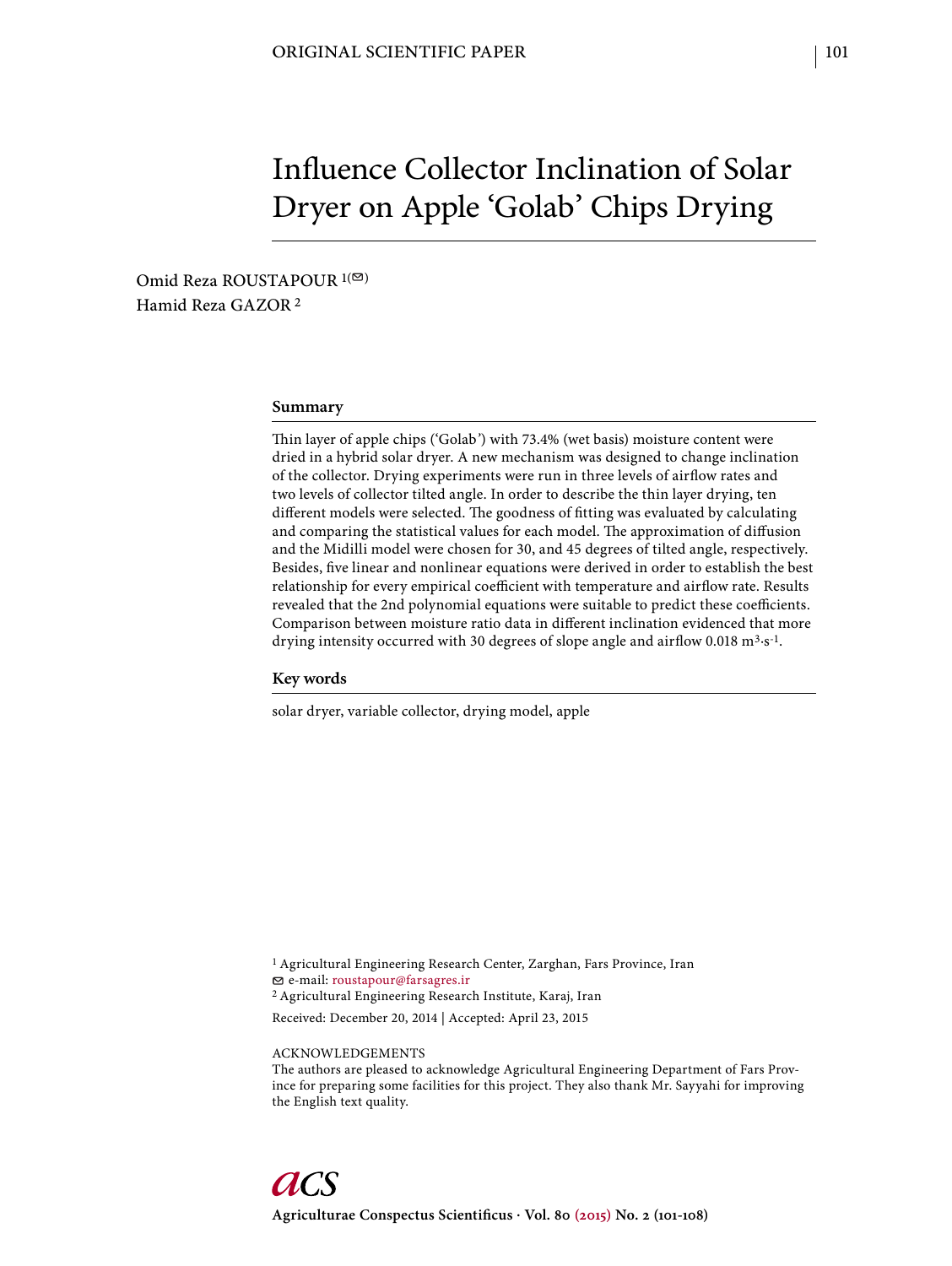# Influence Collector Inclination of Solar Dryer on Apple 'Golab' Chips Drying

Omid Reza ROUSTAPOUR<sup>1(⊠)</sup> Hamid Reza GAZOR 2

#### **Summary**

Thin layer of apple chips ('Golab') with 73.4% (wet basis) moisture content were dried in a hybrid solar dryer. A new mechanism was designed to change inclination of the collector. Drying experiments were run in three levels of airflow rates and two levels of collector tilted angle. In order to describe the thin layer drying, ten different models were selected. The goodness of fitting was evaluated by calculating and comparing the statistical values for each model. The approximation of diffusion and the Midilli model were chosen for 30, and 45 degrees of tilted angle, respectively. Besides, five linear and nonlinear equations were derived in order to establish the best relationship for every empirical coefficient with temperature and airflow rate. Results revealed that the 2nd polynomial equations were suitable to predict these coefficients. Comparison between moisture ratio data in different inclination evidenced that more drying intensity occurred with 30 degrees of slope angle and airflow 0.018  $m^3 \cdot s^{-1}$ .

#### **Key words**

solar dryer, variable collector, drying model, apple

1 Agricultural Engineering Research Center, Zarghan, Fars Province, Iran e-mail: roustapour@farsagres.ir

2 Agricultural Engineering Research Institute, Karaj, Iran

Received: December 20, 2014 | Accepted: April 23, 2015

ACKNOWLEDGEMENTS

The authors are pleased to acknowledge Agricultural Engineering Department of Fars Province for preparing some facilities for this project. They also thank Mr. Sayyahi for improving the English text quality.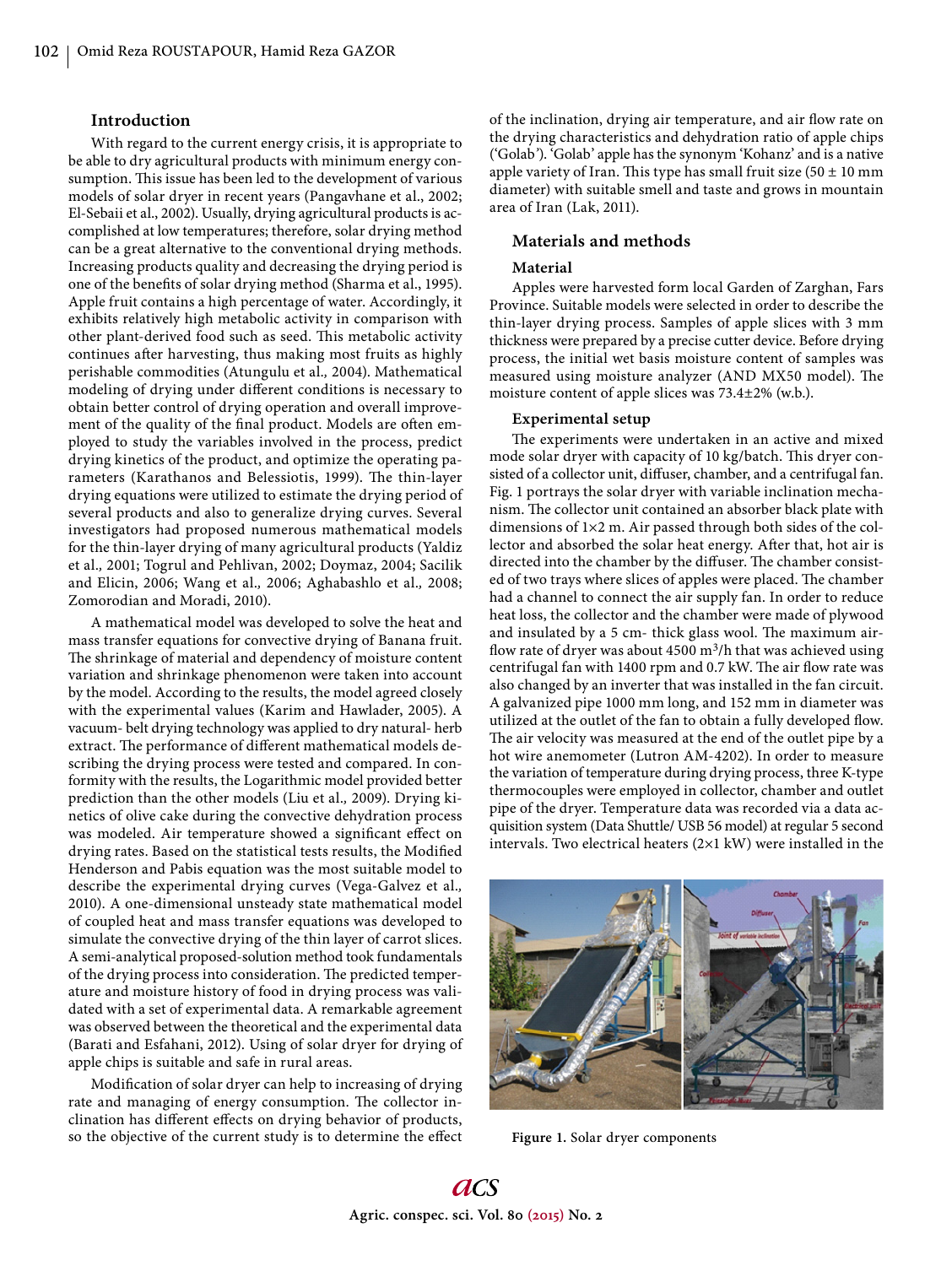## **Introduction**

With regard to the current energy crisis, it is appropriate to be able to dry agricultural products with minimum energy consumption. This issue has been led to the development of various models of solar dryer in recent years (Pangavhane et al., 2002; El-Sebaii et al., 2002). Usually, drying agricultural products is accomplished at low temperatures; therefore, solar drying method can be a great alternative to the conventional drying methods. Increasing products quality and decreasing the drying period is one of the benefits of solar drying method (Sharma et al., 1995). Apple fruit contains a high percentage of water. Accordingly, it exhibits relatively high metabolic activity in comparison with other plant-derived food such as seed. This metabolic activity continues after harvesting, thus making most fruits as highly perishable commodities (Atungulu et al.*,* 2004). Mathematical modeling of drying under different conditions is necessary to obtain better control of drying operation and overall improvement of the quality of the final product. Models are often employed to study the variables involved in the process, predict drying kinetics of the product, and optimize the operating parameters (Karathanos and Belessiotis, 1999). The thin-layer drying equations were utilized to estimate the drying period of several products and also to generalize drying curves. Several investigators had proposed numerous mathematical models for the thin-layer drying of many agricultural products (Yaldiz et al.*,* 2001; Togrul and Pehlivan, 2002; Doymaz, 2004; Sacilik and Elicin, 2006; Wang et al.*,* 2006; Aghabashlo et al.*,* 2008; Zomorodian and Moradi, 2010).

A mathematical model was developed to solve the heat and mass transfer equations for convective drying of Banana fruit. The shrinkage of material and dependency of moisture content variation and shrinkage phenomenon were taken into account by the model. According to the results, the model agreed closely with the experimental values (Karim and Hawlader, 2005). A vacuum- belt drying technology was applied to dry natural- herb extract. The performance of different mathematical models describing the drying process were tested and compared. In conformity with the results, the Logarithmic model provided better prediction than the other models (Liu et al.*,* 2009). Drying kinetics of olive cake during the convective dehydration process was modeled. Air temperature showed a significant effect on drying rates. Based on the statistical tests results, the Modified Henderson and Pabis equation was the most suitable model to describe the experimental drying curves (Vega-Galvez et al.*,* 2010). A one-dimensional unsteady state mathematical model of coupled heat and mass transfer equations was developed to simulate the convective drying of the thin layer of carrot slices. A semi-analytical proposed-solution method took fundamentals of the drying process into consideration. The predicted temperature and moisture history of food in drying process was validated with a set of experimental data. A remarkable agreement was observed between the theoretical and the experimental data (Barati and Esfahani, 2012). Using of solar dryer for drying of apple chips is suitable and safe in rural areas.

Modification of solar dryer can help to increasing of drying rate and managing of energy consumption. The collector inclination has different effects on drying behavior of products, so the objective of the current study is to determine the effect

of the inclination, drying air temperature, and air flow rate on the drying characteristics and dehydration ratio of apple chips ('Golab*'*). 'Golab' apple has the synonym 'Kohanz' and is a native apple variety of Iran. This type has small fruit size  $(50 \pm 10 \text{ mm})$ diameter) with suitable smell and taste and grows in mountain area of Iran (Lak, 2011).

# **Materials and methods**

#### **Material**

Apples were harvested form local Garden of Zarghan, Fars Province. Suitable models were selected in order to describe the thin-layer drying process. Samples of apple slices with 3 mm thickness were prepared by a precise cutter device. Before drying process, the initial wet basis moisture content of samples was measured using moisture analyzer (AND MX50 model). The moisture content of apple slices was 73.4±2% (w.b.).

## **Experimental setup**

The experiments were undertaken in an active and mixed mode solar dryer with capacity of 10 kg/batch. This dryer consisted of a collector unit, diffuser, chamber, and a centrifugal fan. Fig. 1 portrays the solar dryer with variable inclination mechanism. The collector unit contained an absorber black plate with dimensions of 1×2 m. Air passed through both sides of the collector and absorbed the solar heat energy. After that, hot air is directed into the chamber by the diffuser. The chamber consisted of two trays where slices of apples were placed. The chamber had a channel to connect the air supply fan. In order to reduce heat loss, the collector and the chamber were made of plywood and insulated by a 5 cm- thick glass wool. The maximum airflow rate of dryer was about  $4500 \text{ m}^3$ /h that was achieved using centrifugal fan with 1400 rpm and 0.7 kW. The air flow rate was also changed by an inverter that was installed in the fan circuit. A galvanized pipe 1000 mm long, and 152 mm in diameter was utilized at the outlet of the fan to obtain a fully developed flow. The air velocity was measured at the end of the outlet pipe by a hot wire anemometer (Lutron AM-4202). In order to measure the variation of temperature during drying process, three K-type thermocouples were employed in collector, chamber and outlet pipe of the dryer. Temperature data was recorded via a data acquisition system (Data Shuttle/ USB 56 model) at regular 5 second intervals. Two electrical heaters (2×1 kW) were installed in the



**Figure 1.** Solar dryer components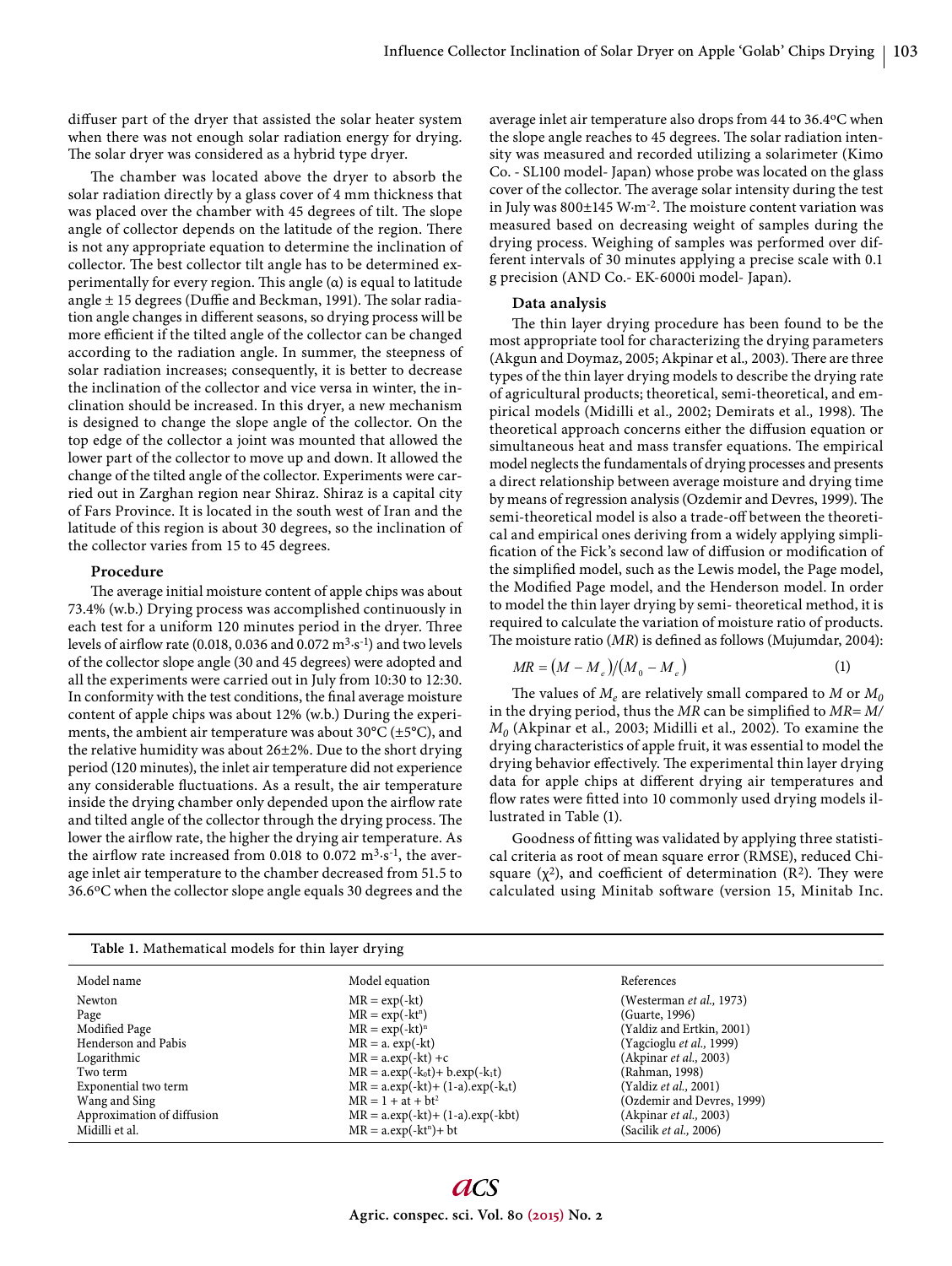diffuser part of the dryer that assisted the solar heater system when there was not enough solar radiation energy for drying. The solar dryer was considered as a hybrid type dryer.

The chamber was located above the dryer to absorb the solar radiation directly by a glass cover of 4 mm thickness that was placed over the chamber with 45 degrees of tilt. The slope angle of collector depends on the latitude of the region. There is not any appropriate equation to determine the inclination of collector. The best collector tilt angle has to be determined experimentally for every region. This angle  $(\alpha)$  is equal to latitude angle  $\pm$  15 degrees (Duffie and Beckman, 1991). The solar radiation angle changes in different seasons, so drying process will be more efficient if the tilted angle of the collector can be changed according to the radiation angle. In summer, the steepness of solar radiation increases; consequently, it is better to decrease the inclination of the collector and vice versa in winter, the inclination should be increased. In this dryer, a new mechanism is designed to change the slope angle of the collector. On the top edge of the collector a joint was mounted that allowed the lower part of the collector to move up and down. It allowed the change of the tilted angle of the collector. Experiments were carried out in Zarghan region near Shiraz. Shiraz is a capital city of Fars Province. It is located in the south west of Iran and the latitude of this region is about 30 degrees, so the inclination of the collector varies from 15 to 45 degrees.

### **Procedure**

The average initial moisture content of apple chips was about 73.4% (w.b.) Drying process was accomplished continuously in each test for a uniform 120 minutes period in the dryer. Three levels of airflow rate (0.018, 0.036 and 0.072  $\text{m}^3 \cdot \text{s}^{-1}$ ) and two levels of the collector slope angle (30 and 45 degrees) were adopted and all the experiments were carried out in July from 10:30 to 12:30. In conformity with the test conditions, the final average moisture content of apple chips was about 12% (w.b.) During the experiments, the ambient air temperature was about  $30^{\circ}$ C ( $\pm$ 5°C), and the relative humidity was about 26±2%. Due to the short drying period (120 minutes), the inlet air temperature did not experience any considerable fluctuations. As a result, the air temperature inside the drying chamber only depended upon the airflow rate and tilted angle of the collector through the drying process. The lower the airflow rate, the higher the drying air temperature. As the airflow rate increased from 0.018 to 0.072  $m<sup>3</sup>·s<sup>-1</sup>$ , the average inlet air temperature to the chamber decreased from 51.5 to 36.6oC when the collector slope angle equals 30 degrees and the average inlet air temperature also drops from 44 to 36.4oC when the slope angle reaches to 45 degrees. The solar radiation intensity was measured and recorded utilizing a solarimeter (Kimo Co. - SL100 model- Japan) whose probe was located on the glass cover of the collector. The average solar intensity during the test in July was  $800\pm145$  W·m<sup>-2</sup>. The moisture content variation was measured based on decreasing weight of samples during the drying process. Weighing of samples was performed over different intervals of 30 minutes applying a precise scale with 0.1 g precision (AND Co.- EK-6000i model- Japan).

#### **Data analysis**

The thin layer drying procedure has been found to be the most appropriate tool for characterizing the drying parameters (Akgun and Doymaz, 2005; Akpinar et al., 2003). There are three types of the thin layer drying models to describe the drying rate of agricultural products; theoretical, semi-theoretical, and empirical models (Midilli et al., 2002; Demirats et al., 1998). The theoretical approach concerns either the diffusion equation or simultaneous heat and mass transfer equations. The empirical model neglects the fundamentals of drying processes and presents a direct relationship between average moisture and drying time by means of regression analysis (Ozdemir and Devres, 1999). The semi-theoretical model is also a trade-off between the theoretical and empirical ones deriving from a widely applying simplification of the Fick's second law of diffusion or modification of the simplified model, such as the Lewis model, the Page model, the Modified Page model, and the Henderson model. In order to model the thin layer drying by semi- theoretical method, it is required to calculate the variation of moisture ratio of products. The moisture ratio (*MR*) is defined as follows (Mujumdar, 2004):

$$
MR = (M - M_e)/(M_0 - M_e)
$$
 (1)

The values of  $M_e$  are relatively small compared to  $M$  or  $M_0$ in the drying period, thus the *MR* can be simplified to *MR*= *M*/ *M0* (Akpinar et al.*,* 2003; Midilli et al.*,* 2002). To examine the drying characteristics of apple fruit, it was essential to model the drying behavior effectively. The experimental thin layer drying data for apple chips at different drying air temperatures and flow rates were fitted into 10 commonly used drying models illustrated in Table (1).

Goodness of fitting was validated by applying three statistical criteria as root of mean square error (RMSE), reduced Chisquare  $(\chi^2)$ , and coefficient of determination  $(R^2)$ . They were calculated using Minitab software (version 15, Minitab Inc.

| Table 1. Mathematical models for thin layer drying                                                                                                       |                                                                                                                                                                                                                                                      |                                                                                                                                                                                                                                                                  |  |
|----------------------------------------------------------------------------------------------------------------------------------------------------------|------------------------------------------------------------------------------------------------------------------------------------------------------------------------------------------------------------------------------------------------------|------------------------------------------------------------------------------------------------------------------------------------------------------------------------------------------------------------------------------------------------------------------|--|
| Model name                                                                                                                                               | Model equation                                                                                                                                                                                                                                       | References                                                                                                                                                                                                                                                       |  |
| Newton<br>Page<br>Modified Page<br>Henderson and Pabis<br>Logarithmic<br>Two term<br>Exponential two term<br>Wang and Sing<br>Approximation of diffusion | $MR = exp(-kt)$<br>$MR = exp(-kt^n)$<br>$MR = exp(-kt)^n$<br>$MR = a. exp(-kt)$<br>$MR = a.exp(-kt) + c$<br>$MR = a.exp(-k_0t) + b.exp(-k_1t)$<br>$MR = a.exp(-kt) + (1-a).exp(-kat)$<br>$MR = 1 + at + bt^2$<br>$MR = a.exp(-kt) + (1-a).exp(-kbt)$ | (Westerman <i>et al.</i> , 1973)<br>(Guarte, 1996)<br>(Yaldiz and Ertkin, 2001)<br>(Yagcioglu <i>et al.</i> , 1999)<br>(Akpinar <i>et al.</i> , 2003)<br>(Rahman, 1998)<br>(Yaldiz <i>et al.</i> , 2001)<br>(Ozdemir and Devres, 1999)<br>(Akpinar et al., 2003) |  |
| Midilli et al.                                                                                                                                           | $MR = a.exp(-kt^n) + bt$                                                                                                                                                                                                                             | (Sacilik <i>et al.</i> , 2006)                                                                                                                                                                                                                                   |  |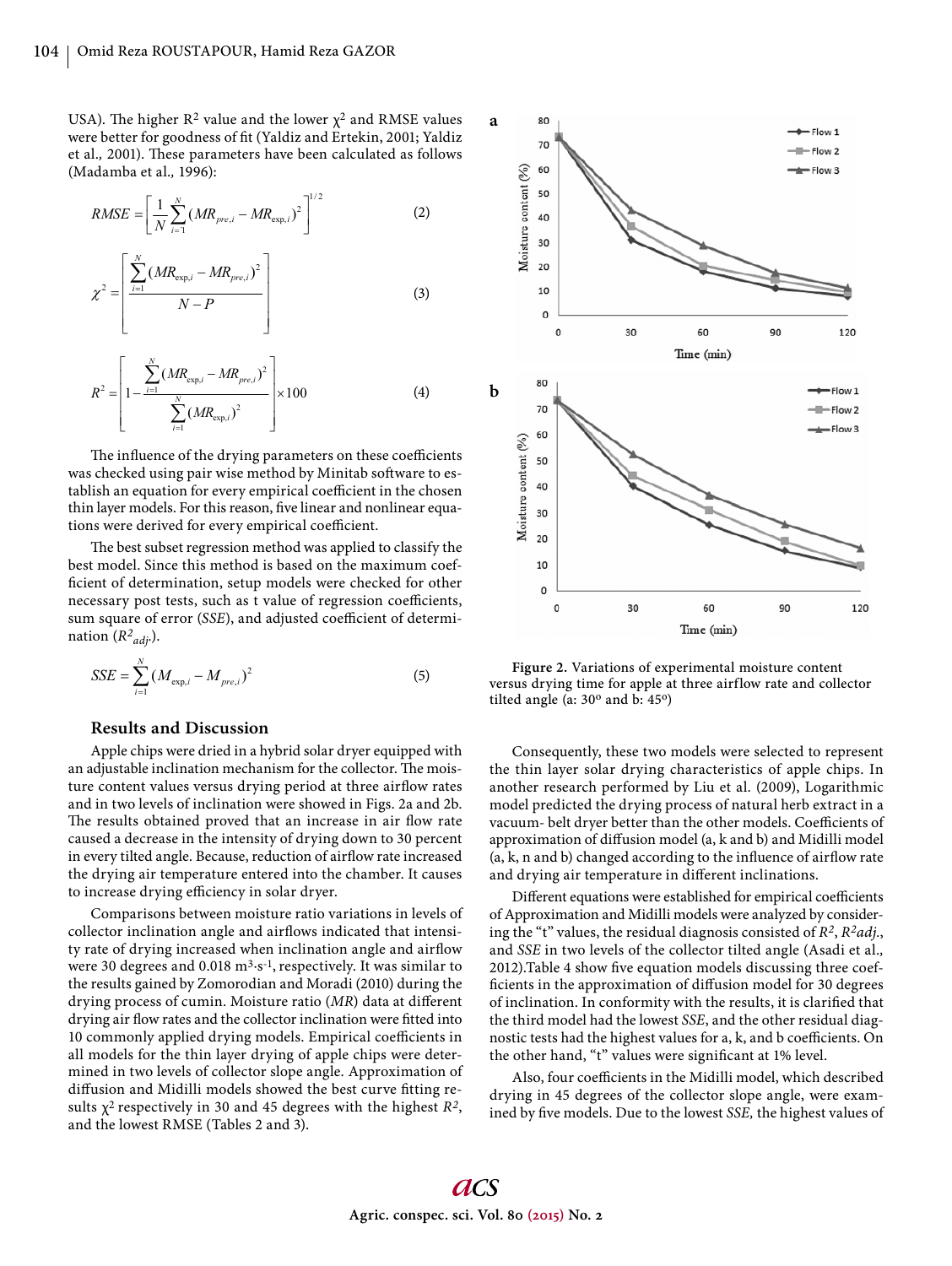USA). The higher  $R^2$  value and the lower  $\chi^2$  and RMSE values were better for goodness of fit (Yaldiz and Ertekin, 2001; Yaldiz et al., 2001). These parameters have been calculated as follows (Madamba et al.*,* 1996):

$$
RMSE = \left[\frac{1}{N} \sum_{i=1}^{N} (MR_{pre,i} - MR_{\exp,i})^2\right]^{1/2}
$$
 (2)

$$
\chi^{2} = \left[ \frac{\sum_{i=1}^{N} (MR_{\exp,i} - MR_{pre,i})^{2}}{N - P} \right]
$$
 (3)

$$
R^{2} = \left[1 - \frac{\sum_{i=1}^{N} (MR_{\exp,i} - MR_{pre,i})^{2}}{\sum_{i=1}^{N} (MR_{\exp,i})^{2}}\right] \times 100
$$
 (4)

The influence of the drying parameters on these coefficients was checked using pair wise method by Minitab software to establish an equation for every empirical coefficient in the chosen thin layer models. For this reason, five linear and nonlinear equations were derived for every empirical coefficient.

The best subset regression method was applied to classify the best model. Since this method is based on the maximum coefficient of determination, setup models were checked for other necessary post tests, such as t value of regression coefficients, sum square of error (*SSE*), and adjusted coefficient of determination (*R2 adj.*).

$$
SSE = \sum_{i=1}^{N} (M_{\exp,i} - M_{pre,i})^2
$$
 (5)

# **Results and Discussion**

Apple chips were dried in a hybrid solar dryer equipped with an adjustable inclination mechanism for the collector. The moisture content values versus drying period at three airflow rates and in two levels of inclination were showed in Figs. 2a and 2b. The results obtained proved that an increase in air flow rate caused a decrease in the intensity of drying down to 30 percent in every tilted angle. Because, reduction of airflow rate increased the drying air temperature entered into the chamber. It causes to increase drying efficiency in solar dryer.

Comparisons between moisture ratio variations in levels of collector inclination angle and airflows indicated that intensity rate of drying increased when inclination angle and airflow were 30 degrees and 0.018  $m<sup>3</sup>·s<sup>-1</sup>$ , respectively. It was similar to the results gained by Zomorodian and Moradi (2010) during the drying process of cumin. Moisture ratio (MR) data at different drying air flow rates and the collector inclination were fitted into 10 commonly applied drying models. Empirical coefficients in all models for the thin layer drying of apple chips were determined in two levels of collector slope angle. Approximation of diffusion and Midilli models showed the best curve fitting results  $\chi^2$  respectively in 30 and 45 degrees with the highest  $R^2$ , and the lowest RMSE (Tables 2 and 3).



**Figure 2.** Variations of experimental moisture content versus drying time for apple at three airflow rate and collector tilted angle (a:  $30^{\circ}$  and b:  $45^{\circ}$ )

Consequently, these two models were selected to represent the thin layer solar drying characteristics of apple chips. In another research performed by Liu et al. (2009), Logarithmic model predicted the drying process of natural herb extract in a vacuum- belt dryer better than the other models. Coefficients of approximation of diffusion model (a, k and b) and Midilli model  $(a, k, n, and b)$  changed according to the influence of airflow rate and drying air temperature in different inclinations.

Different equations were established for empirical coefficients of Approximation and Midilli models were analyzed by considering the "t" values, the residual diagnosis consisted of *R2*, *R2adj.*, and *SSE* in two levels of the collector tilted angle (Asadi et al.*,* 2012).Table 4 show five equation models discussing three coefficients in the approximation of diffusion model for 30 degrees of inclination. In conformity with the results, it is clarified that the third model had the lowest *SSE*, and the other residual diagnostic tests had the highest values for a, k, and b coefficients. On the other hand, "t" values were significant at 1% level.

Also, four coefficients in the Midilli model, which described drying in 45 degrees of the collector slope angle, were examined by five models. Due to the lowest *SSE*, the highest values of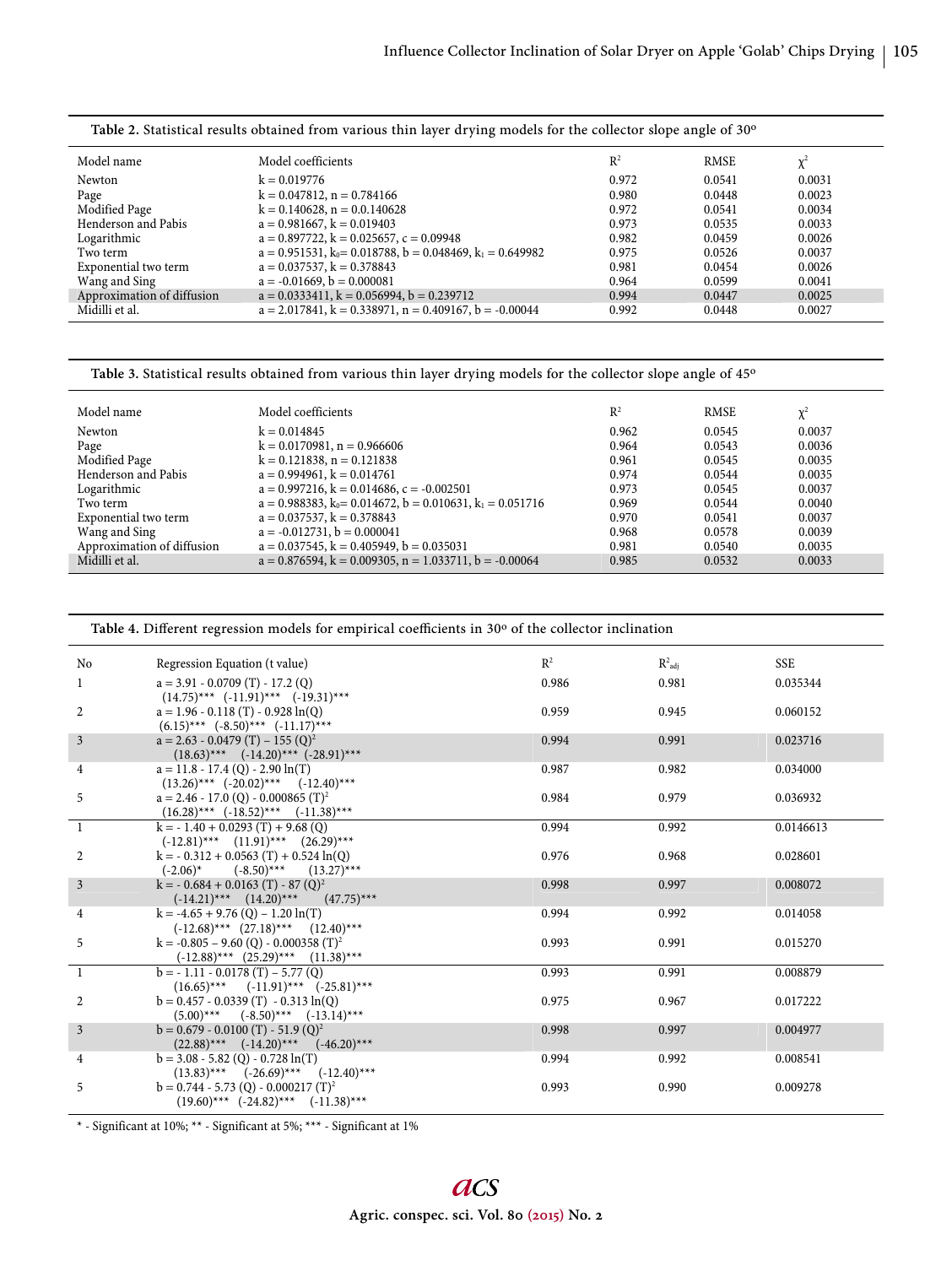| Model name                 | Model coefficients                                                    | $R^2$ | <b>RMSE</b> | $\chi^2$ |
|----------------------------|-----------------------------------------------------------------------|-------|-------------|----------|
| Newton                     | $k = 0.019776$                                                        | 0.972 | 0.0541      | 0.0031   |
| Page                       | $k = 0.047812$ , $n = 0.784166$                                       | 0.980 | 0.0448      | 0.0023   |
| Modified Page              | $k = 0.140628$ , $n = 0.0.140628$                                     | 0.972 | 0.0541      | 0.0034   |
| Henderson and Pabis        | $a = 0.981667$ , $k = 0.019403$                                       | 0.973 | 0.0535      | 0.0033   |
| Logarithmic                | $a = 0.897722$ , $k = 0.025657$ , $c = 0.09948$                       | 0.982 | 0.0459      | 0.0026   |
| Two term                   | $a = 0.951531$ , $k_0 = 0.018788$ , $b = 0.048469$ , $k_1 = 0.649982$ | 0.975 | 0.0526      | 0.0037   |
| Exponential two term       | $a = 0.037537$ , $k = 0.378843$                                       | 0.981 | 0.0454      | 0.0026   |
| Wang and Sing              | $a = -0.01669$ , $b = 0.000081$                                       | 0.964 | 0.0599      | 0.0041   |
| Approximation of diffusion | $a = 0.0333411$ , $k = 0.056994$ , $b = 0.239712$                     | 0.994 | 0.0447      | 0.0025   |
| Midilli et al.             | $a = 2.017841$ , $k = 0.338971$ , $n = 0.409167$ , $b = -0.00044$     | 0.992 | 0.0448      | 0.0027   |
|                            |                                                                       |       |             |          |

**Table 2.** Statistical results obtained from various thin layer drying models for the collector slope angle of 30o

Table 3. Statistical results obtained from various thin layer drying models for the collector slope angle of 45<sup>o</sup>

| Model name                 | Model coefficients                                                    | $\mathbb{R}^2$ | RMSE   | $\mathbf{v}^2$ |
|----------------------------|-----------------------------------------------------------------------|----------------|--------|----------------|
| Newton                     | $k = 0.014845$                                                        | 0.962          | 0.0545 | 0.0037         |
| Page                       | $k = 0.0170981$ , $n = 0.966606$                                      | 0.964          | 0.0543 | 0.0036         |
| Modified Page              | $k = 0.121838$ , $n = 0.121838$                                       | 0.961          | 0.0545 | 0.0035         |
| Henderson and Pabis        | $a = 0.994961$ , $k = 0.014761$                                       | 0.974          | 0.0544 | 0.0035         |
| Logarithmic                | $a = 0.997216$ , $k = 0.014686$ , $c = -0.002501$                     | 0.973          | 0.0545 | 0.0037         |
| Two term                   | $a = 0.988383$ , $k_0 = 0.014672$ , $b = 0.010631$ , $k_1 = 0.051716$ | 0.969          | 0.0544 | 0.0040         |
| Exponential two term       | $a = 0.037537$ , $k = 0.378843$                                       | 0.970          | 0.0541 | 0.0037         |
| Wang and Sing              | $a = -0.012731$ , $b = 0.000041$                                      | 0.968          | 0.0578 | 0.0039         |
| Approximation of diffusion | $a = 0.037545$ , $k = 0.405949$ , $b = 0.035031$                      | 0.981          | 0.0540 | 0.0035         |
| Midilli et al.             | $a = 0.876594$ , $k = 0.009305$ , $n = 1.033711$ , $b = -0.00064$     | 0.985          | 0.0532 | 0.0033         |

Table 4. Different regression models for empirical coefficients in 30° of the collector inclination

| No             | Regression Equation (t value)                                                                     | $R^2$ | $R^2_{\text{adi}}$ | <b>SSE</b> |
|----------------|---------------------------------------------------------------------------------------------------|-------|--------------------|------------|
| 1              | $a = 3.91 - 0.0709$ (T) - 17.2 (Q)<br>$(14.75)$ *** $(-11.91)$ *** $(-19.31)$ ***                 | 0.986 | 0.981              | 0.035344   |
| 2              | $a = 1.96 - 0.118(T) - 0.928 \ln(Q)$<br>$(6.15)$ *** $(-8.50)$ *** $(-11.17)$ ***                 | 0.959 | 0.945              | 0.060152   |
| $\mathfrak{Z}$ | $a = 2.63 - 0.0479(T) - 155(Q)^2$<br>$(18.63)$ *** $(-14.20)$ *** $(-28.91)$ ***                  | 0.994 | 0.991              | 0.023716   |
| 4              | $a = 11.8 - 17.4$ (Q) - 2.90 $ln(T)$<br>$(13.26)$ *** $(-20.02)$ *** $(-12.40)$ ***               | 0.987 | 0.982              | 0.034000   |
| 5              | $a = 2.46 - 17.0$ (Q) - 0.000865 (T) <sup>2</sup><br>$(16.28)***$ $(-18.52)***$ $(-11.38)***$     | 0.984 | 0.979              | 0.036932   |
| $\overline{1}$ | $k = -1.40 + 0.0293(T) + 9.68(0)$<br>$(-12.81)$ *** $(11.91)$ *** $(26.29)$ ***                   | 0.994 | 0.992              | 0.0146613  |
| $\overline{2}$ | $k = -0.312 + 0.0563$ (T) + 0.524 ln(Q)<br>$(-2.06)^*$ $(-8.50)^{***}$ $(13.27)^{***}$            | 0.976 | 0.968              | 0.028601   |
| $\mathfrak{Z}$ | $k = -0.684 + 0.0163$ (T) - 87 (Q) <sup>2</sup><br>$(-14.21)$ *** $(14.20)$ *** $(47.75)$ ***     | 0.998 | 0.997              | 0.008072   |
| 4              | $k = -4.65 + 9.76$ (Q) $- 1.20 \ln(T)$<br>$(-12.68)$ *** $(27.18)$ *** $(12.40)$ ***              | 0.994 | 0.992              | 0.014058   |
| 5              | $k = -0.805 - 9.60$ (Q) - 0.000358 (T) <sup>2</sup><br>$(-12.88)$ *** $(25.29)$ *** $(11.38)$ *** | 0.993 | 0.991              | 0.015270   |
| -1             | $b = -1.11 - 0.0178(T) - 5.77(Q)$<br>$(16.65)$ *** $(-11.91)$ *** $(-25.81)$ ***                  | 0.993 | 0.991              | 0.008879   |
| 2              | $b = 0.457 - 0.0339(T) - 0.313 \ln(Q)$<br>$(5.00)$ *** $(-8.50)$ *** $(-13.14)$ ***               | 0.975 | 0.967              | 0.017222   |
| $\overline{3}$ | $b = 0.679 - 0.0100$ (T) $- 51.9$ (Q) <sup>2</sup><br>$(22.88)$ *** $(-14.20)$ *** $(-46.20)$ *** | 0.998 | 0.997              | 0.004977   |
| 4              | $b = 3.08 - 5.82$ (Q) $- 0.728 \ln(T)$<br>$(13.83)$ *** $(-26.69)$ *** $(-12.40)$ ***             | 0.994 | 0.992              | 0.008541   |
| 5              | $b = 0.744 - 5.73$ (Q) - 0.000217 (T) <sup>2</sup><br>$(19.60)$ *** $(-24.82)$ *** $(-11.38)$ *** | 0.993 | 0.990              | 0.009278   |

 $^*$  - Significant at 10%;  $^{\star\star}$  - Significant at 1% - Significant at 1%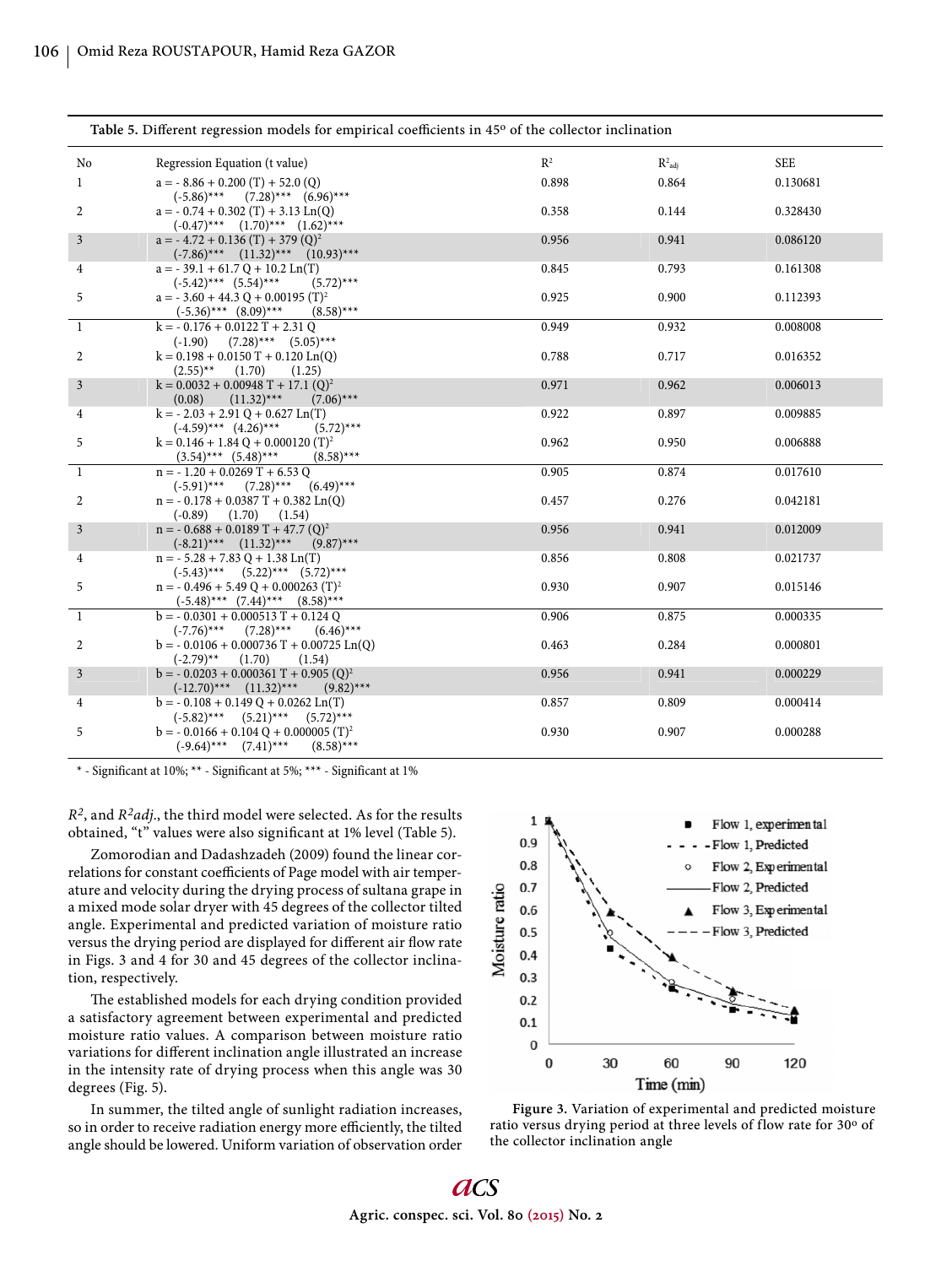| Table 5. Different regression models for empirical coefficients in 45° of the collector inclination |                                                                                                |       |                      |            |
|-----------------------------------------------------------------------------------------------------|------------------------------------------------------------------------------------------------|-------|----------------------|------------|
| No                                                                                                  | Regression Equation (t value)                                                                  | $R^2$ | $R^2$ <sub>adi</sub> | <b>SEE</b> |
| 1                                                                                                   | $a = -8.86 + 0.200(T) + 52.0(Q)$<br>$(-5.86)$ *** $(7.28)$ *** $(6.96)$ ***                    | 0.898 | 0.864                | 0.130681   |
| 2                                                                                                   | $a = -0.74 + 0.302(T) + 3.13$ Ln(Q)<br>$(-0.47)$ *** $(1.70)$ *** $(1.62)$ ***                 | 0.358 | 0.144                | 0.328430   |
| $\mathfrak{Z}$                                                                                      | $a = -4.72 + 0.136$ (T) + 379 (Q) <sup>2</sup><br>$(-7.86)$ *** $(11.32)$ *** $(10.93)$ ***    | 0.956 | 0.941                | 0.086120   |
| 4                                                                                                   | $a = -39.1 + 61.7 Q + 10.2 Ln(T)$<br>$(-5.42)$ *** $(5.54)$ ***<br>$(5.72)$ ***                | 0.845 | 0.793                | 0.161308   |
| 5                                                                                                   | $a = -3.60 + 44.3 Q + 0.00195 (T)^2$<br>$(-5.36)$ *** $(8.09)$ ***<br>$(8.58)$ ***             | 0.925 | 0.900                | 0.112393   |
| 1                                                                                                   | $k = -0.176 + 0.0122T + 2.31Q$<br>$(7.28)$ *** $(5.05)$ ***<br>$(-1.90)$                       | 0.949 | 0.932                | 0.008008   |
| 2                                                                                                   | $k = 0.198 + 0.0150 T + 0.120 Ln(Q)$<br>$(2.55)$ <sup>**</sup><br>(1.70)<br>(1.25)             | 0.788 | 0.717                | 0.016352   |
| $\mathfrak{Z}$                                                                                      | $k = 0.0032 + 0.00948$ T + 17.1 (Q) <sup>2</sup><br>(0.08)<br>$(11.32)$ ***<br>$(7.06)$ ***    | 0.971 | 0.962                | 0.006013   |
| 4                                                                                                   | $k = -2.03 + 2.91$ Q + 0.627 Ln(T)<br>$(-4.59)$ *** $(4.26)$ ***<br>$(5.72)$ ***               | 0.922 | 0.897                | 0.009885   |
| 5                                                                                                   | $k = 0.146 + 1.84$ Q + 0.000120 (T) <sup>2</sup><br>$(3.54)$ *** $(5.48)$ ***<br>$(8.58)$ ***  | 0.962 | 0.950                | 0.006888   |
| $\mathbf{1}$                                                                                        | $n = -1.20 + 0.0269$ T + 6.53 Q<br>$(-5.91)$ ***<br>$(7.28)$ ***<br>$(6.49)$ ***               | 0.905 | 0.874                | 0.017610   |
| 2                                                                                                   | $n = -0.178 + 0.0387T + 0.382$ Ln(Q)<br>$(-0.89)$<br>$(1.70)$ $(1.54)$                         | 0.457 | 0.276                | 0.042181   |
| $\mathfrak{Z}$                                                                                      | $n = -0.688 + 0.0189$ T + 47.7 (Q) <sup>2</sup><br>$(-8.21)$ *** $(11.32)$ ***<br>$(9.87)$ *** | 0.956 | 0.941                | 0.012009   |
| 4                                                                                                   | $n = -5.28 + 7.83 Q + 1.38 Ln(T)$<br>$(-5.43)$ *** $(5.22)$ *** $(5.72)$ ***                   | 0.856 | 0.808                | 0.021737   |
| 5                                                                                                   | $n = -0.496 + 5.49 Q + 0.000263 (T)^{2}$<br>$(-5.48)$ *** $(7.44)$ *** $(8.58)$ ***            | 0.930 | 0.907                | 0.015146   |
| 1                                                                                                   | $b = -0.0301 + 0.000513 T + 0.124 Q$<br>$(-7.76)$ ***<br>$(7.28)$ ***<br>$(6.46)$ ***          | 0.906 | 0.875                | 0.000335   |
| 2                                                                                                   | $b = -0.0106 + 0.000736$ T + 0.00725 Ln(Q)<br>(1.70)<br>$(-2.79)$ **<br>(1.54)                 | 0.463 | 0.284                | 0.000801   |
| $\mathfrak{Z}$                                                                                      | $b = -0.0203 + 0.000361 T + 0.905 (Q)^2$<br>$(-12.70)$ *** $(11.32)$ ***<br>$(9.82)$ ***       | 0.956 | 0.941                | 0.000229   |
| 4                                                                                                   | $b = -0.108 + 0.149 Q + 0.0262 Ln(T)$<br>$(-5.82)$ *** $(5.21)$ *** $(5.72)$ ***               | 0.857 | 0.809                | 0.000414   |
| 5                                                                                                   | $b = -0.0166 + 0.104 Q + 0.000005 (T)^{2}$<br>$(-9.64)$ *** $(7.41)$ ***<br>$(8.58)$ ***       | 0.930 | 0.907                | 0.000288   |

\* - Significant at 10%; \*\* - Significant at 5%; \*\*\* - Significant at 1%

*R2*, and *R2adj*., the third model were selected. As for the results obtained, "t" values were also significant at 1% level (Table 5).

Zomorodian and Dadashzadeh (2009) found the linear correlations for constant coefficients of Page model with air temperature and velocity during the drying process of sultana grape in a mixed mode solar dryer with 45 degrees of the collector tilted angle. Experimental and predicted variation of moisture ratio versus the drying period are displayed for different air flow rate in Figs. 3 and 4 for 30 and 45 degrees of the collector inclination, respectively.

The established models for each drying condition provided a satisfactory agreement between experimental and predicted moisture ratio values. A comparison between moisture ratio variations for different inclination angle illustrated an increase in the intensity rate of drying process when this angle was 30 degrees (Fig. 5).

In summer, the tilted angle of sunlight radiation increases, so in order to receive radiation energy more efficiently, the tilted angle should be lowered. Uniform variation of observation order



**Figure 3.** Variation of experimental and predicted moisture ratio versus drying period at three levels of flow rate for 30° of the collector inclination angle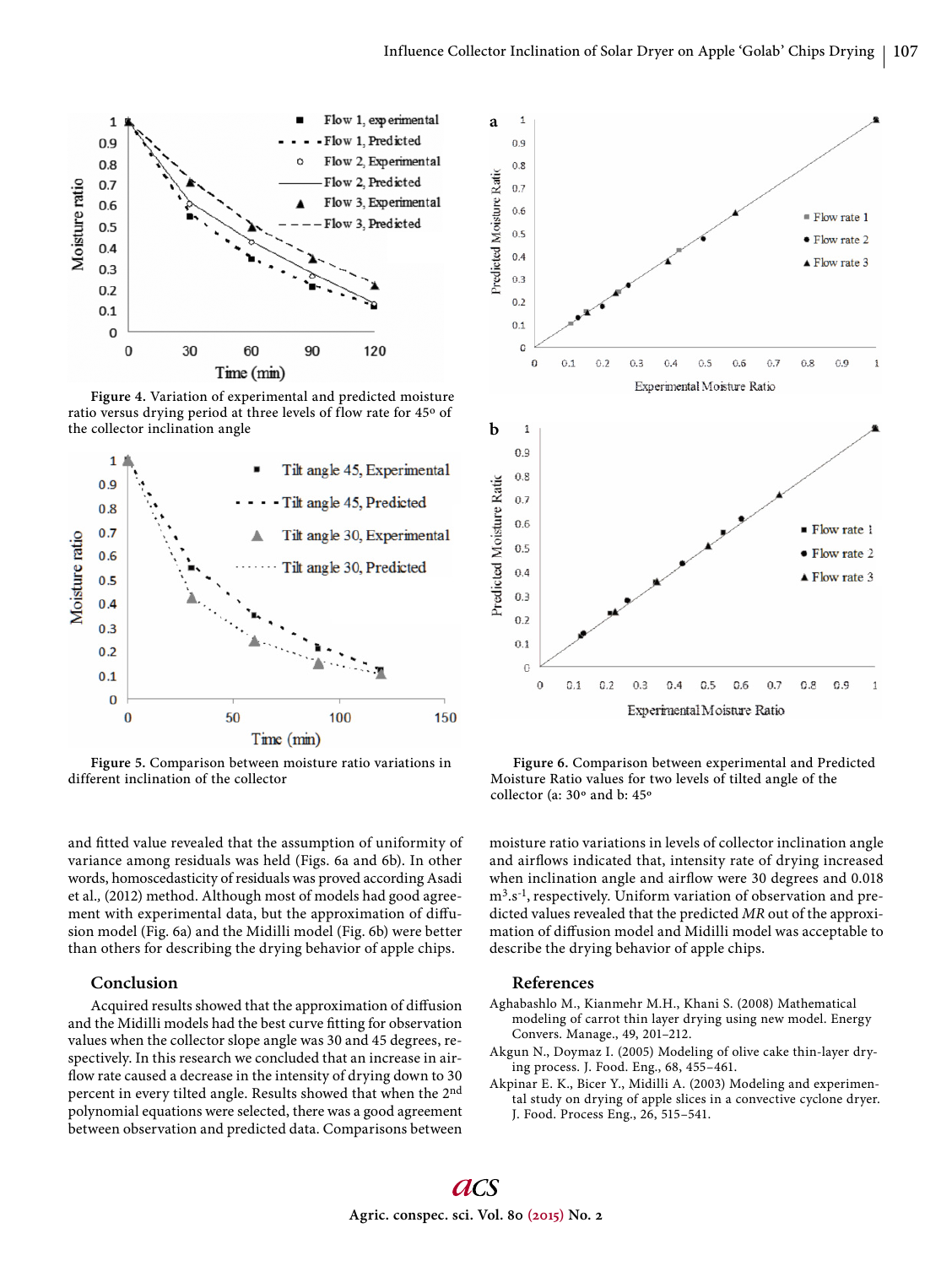

**Figure 4.** Variation of experimental and predicted moisture ratio versus drying period at three levels of flow rate for 45° of the collector inclination angle



**Figure 5.** Comparison between moisture ratio variations in different inclination of the collector

and fitted value revealed that the assumption of uniformity of variance among residuals was held (Figs. 6a and 6b). In other words, homoscedasticity of residuals was proved according Asadi et al.*,* (2012) method. Although most of models had good agreement with experimental data, but the approximation of diffusion model (Fig. 6a) and the Midilli model (Fig. 6b) were better than others for describing the drying behavior of apple chips.

## **Conclusion**

Acquired results showed that the approximation of diffusion and the Midilli models had the best curve fitting for observation values when the collector slope angle was 30 and 45 degrees, respectively. In this research we concluded that an increase in airflow rate caused a decrease in the intensity of drying down to 30 percent in every tilted angle. Results showed that when the 2nd polynomial equations were selected, there was a good agreement between observation and predicted data. Comparisons between



**Figure 6.** Comparison between experimental and Predicted Moisture Ratio values for two levels of tilted angle of the collector (a: 30º and b: 45º

moisture ratio variations in levels of collector inclination angle and airflows indicated that, intensity rate of drying increased when inclination angle and airflow were 30 degrees and 0.018 m3.s-1, respectively. Uniform variation of observation and predicted values revealed that the predicted *MR* out of the approximation of diffusion model and Midilli model was acceptable to describe the drying behavior of apple chips.

# **References**

- Aghabashlo M., Kianmehr M.H., Khani S. (2008) Mathematical modeling of carrot thin layer drying using new model. Energy Convers. Manage., 49, 201–212.
- Akgun N., Doymaz I. (2005) Modeling of olive cake thin-layer drying process. J. Food. Eng., 68, 455–461.
- Akpinar E. K., Bicer Y., Midilli A. (2003) Modeling and experimental study on drying of apple slices in a convective cyclone dryer. J. Food. Process Eng., 26, 515–541.